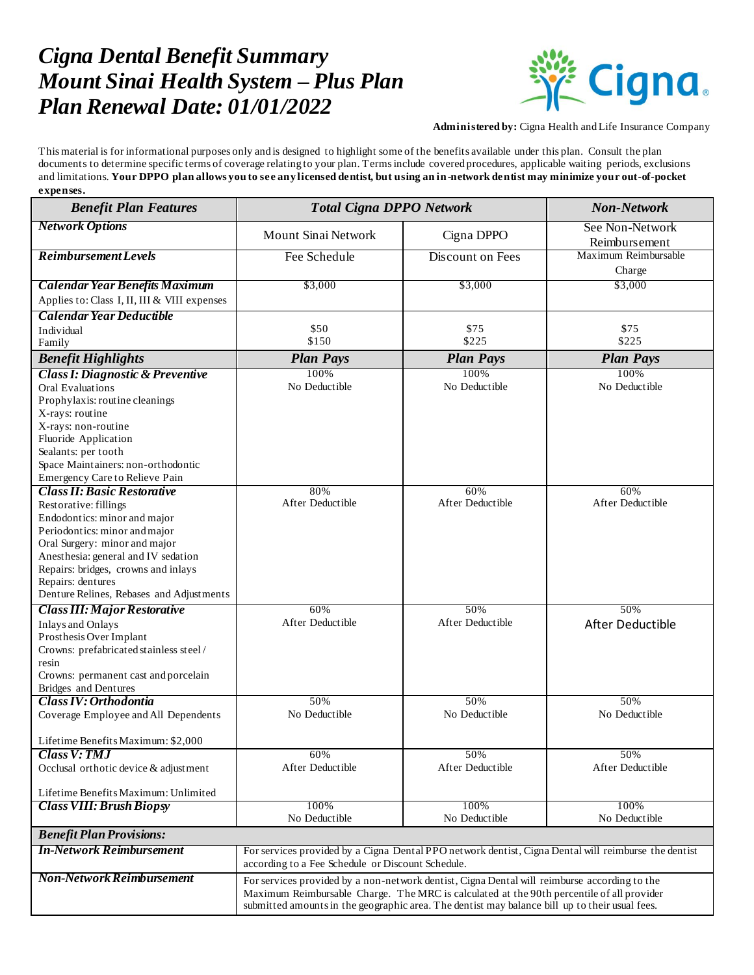## *Cigna Dental Benefit Summary Mount Sinai Health System – Plus Plan Plan Renewal Date: 01/01/2022*



**Administered by:** Cigna Health and Life Insurance Company

This material is for informational purposes only and is designed to highlight some of the benefits available under this plan. Consult the plan documents to determine specific terms of coverage relating to your plan. Terms include covered procedures, applicable waiting periods, exclusions and limitations. **Your DPPO plan allows you to see any licensed dentist, but using an in-network dentist may minimize your out-of-pocket expenses.**

| <b>Benefit Plan Features</b>                                                                                                                                                                                                                                                                                 | <b>Total Cigna DPPO Network</b>                                                                                                                                                                                                                                                             |                         | <b>Non-Network</b>               |
|--------------------------------------------------------------------------------------------------------------------------------------------------------------------------------------------------------------------------------------------------------------------------------------------------------------|---------------------------------------------------------------------------------------------------------------------------------------------------------------------------------------------------------------------------------------------------------------------------------------------|-------------------------|----------------------------------|
| <b>Network Options</b>                                                                                                                                                                                                                                                                                       | Mount Sinai Network                                                                                                                                                                                                                                                                         | Cigna DPPO              | See Non-Network<br>Reimbursement |
| <b>Reimbursement Levels</b>                                                                                                                                                                                                                                                                                  | Fee Schedule                                                                                                                                                                                                                                                                                | Discount on Fees        | Maximum Reimbursable<br>Charge   |
| <b>Calendar Year Benefits Maximum</b><br>Applies to: Class I, II, III & VIII expenses                                                                                                                                                                                                                        | \$3,000                                                                                                                                                                                                                                                                                     | \$3,000                 | \$3,000                          |
| Calendar Year Deductible                                                                                                                                                                                                                                                                                     |                                                                                                                                                                                                                                                                                             |                         |                                  |
| Individual                                                                                                                                                                                                                                                                                                   | \$50                                                                                                                                                                                                                                                                                        | \$75                    | \$75                             |
| Family                                                                                                                                                                                                                                                                                                       | \$150                                                                                                                                                                                                                                                                                       | \$225                   | \$225                            |
| <b>Benefit Highlights</b>                                                                                                                                                                                                                                                                                    | <b>Plan Pays</b>                                                                                                                                                                                                                                                                            | <b>Plan Pays</b>        | <b>Plan Pays</b>                 |
| <b>Class I: Diagnostic &amp; Preventive</b><br><b>Oral Evaluations</b><br>Prophylaxis: routine cleanings<br>X-rays: routine<br>X-rays: non-routine<br>Fluoride Application<br>Sealants: per tooth<br>Space Maintainers: non-orthodontic                                                                      | 100%<br>No Deductible                                                                                                                                                                                                                                                                       | 100%<br>No Deductible   | 100%<br>No Deductible            |
| Emergency Care to Relieve Pain                                                                                                                                                                                                                                                                               |                                                                                                                                                                                                                                                                                             |                         |                                  |
| <b>Class II: Basic Restorative</b><br>Restorative: fillings<br>Endodontics: minor and major<br>Periodontics: minor and major<br>Oral Surgery: minor and major<br>Anesthesia: general and IV sedation<br>Repairs: bridges, crowns and inlays<br>Repairs: dentures<br>Denture Relines, Rebases and Adjustments | 80%<br>After Deductible                                                                                                                                                                                                                                                                     | 60%<br>After Deductible | 60%<br>After Deductible          |
| <b>Class III: Major Restorative</b>                                                                                                                                                                                                                                                                          | 60%                                                                                                                                                                                                                                                                                         | 50%                     | 50%                              |
| <b>Inlays and Onlays</b><br>Prosthesis Over Implant<br>Crowns: prefabricated stainless steel/<br>resin<br>Crowns: permanent cast and porcelain<br><b>Bridges</b> and Dentures                                                                                                                                | After Deductible                                                                                                                                                                                                                                                                            | After Deductible        | After Deductible                 |
| Class IV: Orthodontia                                                                                                                                                                                                                                                                                        | 50%                                                                                                                                                                                                                                                                                         | 50%                     | 50%                              |
| Coverage Employee and All Dependents<br>Lifetime Benefits Maximum: \$2,000                                                                                                                                                                                                                                   | No Deductible                                                                                                                                                                                                                                                                               | No Deductible           | No Deductible                    |
| <b>Class V: TMJ</b>                                                                                                                                                                                                                                                                                          | 60%                                                                                                                                                                                                                                                                                         | 50%                     | 50%                              |
| Occlusal orthotic device & adjustment                                                                                                                                                                                                                                                                        | After Deductible                                                                                                                                                                                                                                                                            | After Deductible        | After Deductible                 |
| Lifetime Benefits Maximum: Unlimited                                                                                                                                                                                                                                                                         |                                                                                                                                                                                                                                                                                             |                         |                                  |
| <b>Class VIII: Brush Biopsy</b>                                                                                                                                                                                                                                                                              | 100%<br>No Deductible                                                                                                                                                                                                                                                                       | 100%<br>No Deductible   | 100%<br>No Deductible            |
| <b>Benefit Plan Provisions:</b>                                                                                                                                                                                                                                                                              |                                                                                                                                                                                                                                                                                             |                         |                                  |
| <b>In-Network Reimbursement</b>                                                                                                                                                                                                                                                                              | For services provided by a Cigna Dental PPO network dentist, Cigna Dental will reimburse the dentist<br>according to a Fee Schedule or Discount Schedule.                                                                                                                                   |                         |                                  |
| <b>Non-Network Reimbursement</b>                                                                                                                                                                                                                                                                             | For services provided by a non-network dentist, Cigna Dental will reimburse according to the<br>Maximum Reimbursable Charge. The MRC is calculated at the 90th percentile of all provider<br>submitted amounts in the geographic area. The dentist may balance bill up to their usual fees. |                         |                                  |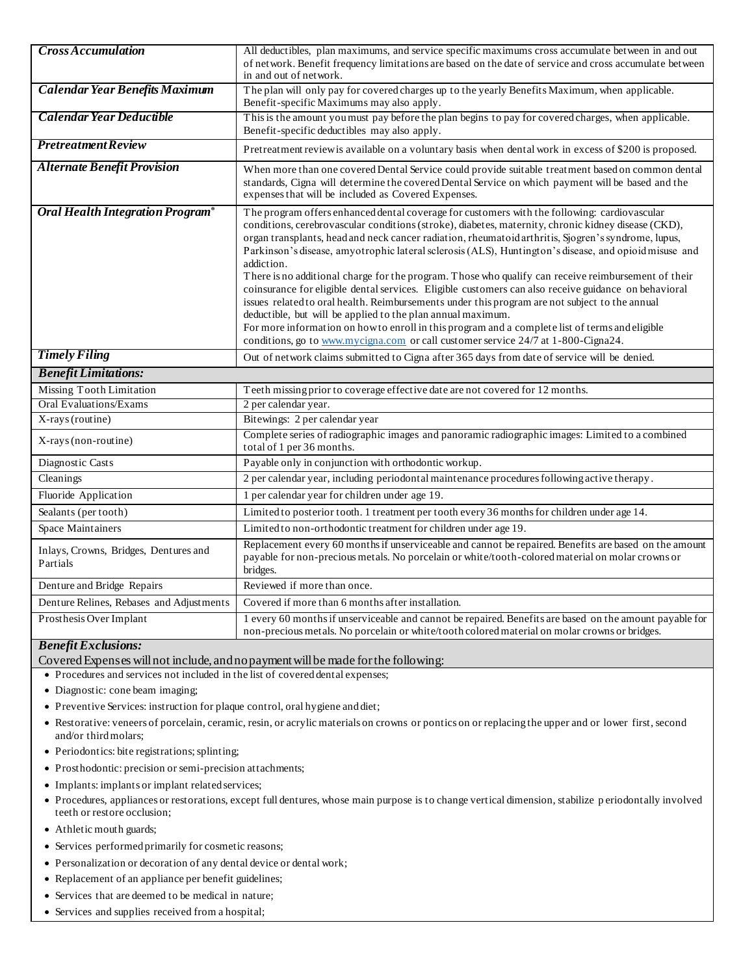| <b>Cross Accumulation</b>                         | All deductibles, plan maximums, and service specific maximums cross accumulate between in and out<br>of network. Benefit frequency limitations are based on the date of service and cross accumulate between<br>in and out of network.                                                                                                                                                                                                                                                                                                                                                                                                                                                                                                                                                                                                                                                                                                                                                                    |  |
|---------------------------------------------------|-----------------------------------------------------------------------------------------------------------------------------------------------------------------------------------------------------------------------------------------------------------------------------------------------------------------------------------------------------------------------------------------------------------------------------------------------------------------------------------------------------------------------------------------------------------------------------------------------------------------------------------------------------------------------------------------------------------------------------------------------------------------------------------------------------------------------------------------------------------------------------------------------------------------------------------------------------------------------------------------------------------|--|
| <b>Calendar Year Benefits Maximum</b>             | The plan will only pay for covered charges up to the yearly Benefits Maximum, when applicable.<br>Benefit-specific Maximums may also apply.                                                                                                                                                                                                                                                                                                                                                                                                                                                                                                                                                                                                                                                                                                                                                                                                                                                               |  |
| Calendar Year Deductible                          | This is the amount you must pay before the plan begins to pay for covered charges, when applicable.<br>Benefit-specific deductibles may also apply.                                                                                                                                                                                                                                                                                                                                                                                                                                                                                                                                                                                                                                                                                                                                                                                                                                                       |  |
| <b>Pretreatment Review</b>                        | Pretreatment review is available on a voluntary basis when dental work in excess of \$200 is proposed.                                                                                                                                                                                                                                                                                                                                                                                                                                                                                                                                                                                                                                                                                                                                                                                                                                                                                                    |  |
| <b>Alternate Benefit Provision</b>                | When more than one covered Dental Service could provide suitable treatment based on common dental<br>standards, Cigna will determine the covered Dental Service on which payment will be based and the<br>expenses that will be included as Covered Expenses.                                                                                                                                                                                                                                                                                                                                                                                                                                                                                                                                                                                                                                                                                                                                             |  |
| <b>Oral Health Integration Program®</b>           | The program offers enhanced dental coverage for customers with the following: cardiovascular<br>conditions, cerebrovascular conditions (stroke), diabetes, maternity, chronic kidney disease (CKD),<br>organ transplants, head and neck cancer radiation, rheumatoid arthritis, Sjogren's syndrome, lupus,<br>Parkinson's disease, amyotrophic lateral sclerosis (ALS), Huntington's disease, and opioid misuse and<br>addiction.<br>There is no additional charge for the program. Those who qualify can receive reimbursement of their<br>coinsurance for eligible dental services. Eligible customers can also receive guidance on behavioral<br>issues related to oral health. Reimbursements under this program are not subject to the annual<br>deductible, but will be applied to the plan annual maximum.<br>For more information on how to enroll in this program and a complete list of terms and eligible<br>conditions, go to www.mycigna.com or call customer service 24/7 at 1-800-Cigna24. |  |
| <b>Timely Filing</b>                              | Out of network claims submitted to Cigna after 365 days from date of service will be denied.                                                                                                                                                                                                                                                                                                                                                                                                                                                                                                                                                                                                                                                                                                                                                                                                                                                                                                              |  |
| <b>Benefit Limitations:</b>                       |                                                                                                                                                                                                                                                                                                                                                                                                                                                                                                                                                                                                                                                                                                                                                                                                                                                                                                                                                                                                           |  |
| Missing Tooth Limitation                          | Teeth missing prior to coverage effective date are not covered for 12 months.                                                                                                                                                                                                                                                                                                                                                                                                                                                                                                                                                                                                                                                                                                                                                                                                                                                                                                                             |  |
| <b>Oral Evaluations/Exams</b>                     | 2 per calendar year.                                                                                                                                                                                                                                                                                                                                                                                                                                                                                                                                                                                                                                                                                                                                                                                                                                                                                                                                                                                      |  |
| X-rays (routine)                                  | Bitewings: 2 per calendar year                                                                                                                                                                                                                                                                                                                                                                                                                                                                                                                                                                                                                                                                                                                                                                                                                                                                                                                                                                            |  |
| X-rays (non-routine)                              | Complete series of radiographic images and panoramic radiographic images: Limited to a combined<br>total of 1 per 36 months.                                                                                                                                                                                                                                                                                                                                                                                                                                                                                                                                                                                                                                                                                                                                                                                                                                                                              |  |
| Diagnostic Casts                                  | Payable only in conjunction with orthodontic workup.                                                                                                                                                                                                                                                                                                                                                                                                                                                                                                                                                                                                                                                                                                                                                                                                                                                                                                                                                      |  |
| Cleanings                                         | 2 per calendar year, including periodontal maintenance procedures following active therapy.                                                                                                                                                                                                                                                                                                                                                                                                                                                                                                                                                                                                                                                                                                                                                                                                                                                                                                               |  |
| Fluoride Application                              | 1 per calendar year for children under age 19.                                                                                                                                                                                                                                                                                                                                                                                                                                                                                                                                                                                                                                                                                                                                                                                                                                                                                                                                                            |  |
| Sealants (per tooth)                              | Limited to posterior tooth. 1 treatment per tooth every 36 months for children under age 14.                                                                                                                                                                                                                                                                                                                                                                                                                                                                                                                                                                                                                                                                                                                                                                                                                                                                                                              |  |
| Space Maintainers                                 | Limited to non-orthodontic treatment for children under age 19.                                                                                                                                                                                                                                                                                                                                                                                                                                                                                                                                                                                                                                                                                                                                                                                                                                                                                                                                           |  |
| Inlays, Crowns, Bridges, Dentures and<br>Partials | Replacement every 60 months if unserviceable and cannot be repaired. Benefits are based on the amount<br>payable for non-precious metals. No porcelain or white/tooth-colored material on molar crowns or<br>bridges.                                                                                                                                                                                                                                                                                                                                                                                                                                                                                                                                                                                                                                                                                                                                                                                     |  |
|                                                   |                                                                                                                                                                                                                                                                                                                                                                                                                                                                                                                                                                                                                                                                                                                                                                                                                                                                                                                                                                                                           |  |
| Denture and Bridge Repairs                        | Reviewed if more than once.                                                                                                                                                                                                                                                                                                                                                                                                                                                                                                                                                                                                                                                                                                                                                                                                                                                                                                                                                                               |  |
| Denture Relines, Rebases and Adjustments          | Covered if more than 6 months after installation.<br>1 every 60 months if unserviceable and cannot be repaired. Benefits are based on the amount payable for                                                                                                                                                                                                                                                                                                                                                                                                                                                                                                                                                                                                                                                                                                                                                                                                                                              |  |

## *Benefit Exclusions:*

Covered Expenses will not include, and no payment will be made for the following:

- Procedures and services not included in the list of covered dental expenses;
- Diagnostic: cone beam imaging;
- Preventive Services: instruction for plaque control, oral hygiene and diet;
- Restorative: veneers of porcelain, ceramic, resin, or acrylic materials on crowns or pontics on or replacing the upper and or lower first, second and/or third molars;
- Periodontics: bite registrations; splinting;
- Prosthodontic: precision or semi-precision attachments;
- Implants: implants or implant related services;
- Procedures, appliances or restorations, except full dentures, whose main purpose is to change vertical dimension, stabilize p eriodontally involved teeth or restore occlusion;
- Athletic mouth guards;
- Services performed primarily for cosmetic reasons;
- Personalization or decoration of any dental device or dental work;
- Replacement of an appliance per benefit guidelines;
- Services that are deemed to be medical in nature;
- Services and supplies received from a hospital;